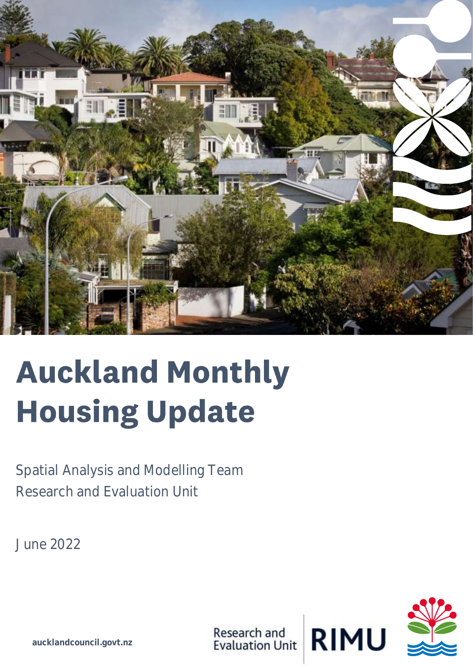

## **Auckland Monthly Housing Update**

Spatial Analysis and Modelling Team Research and Evaluation Unit

June 2022

![](_page_0_Picture_4.jpeg)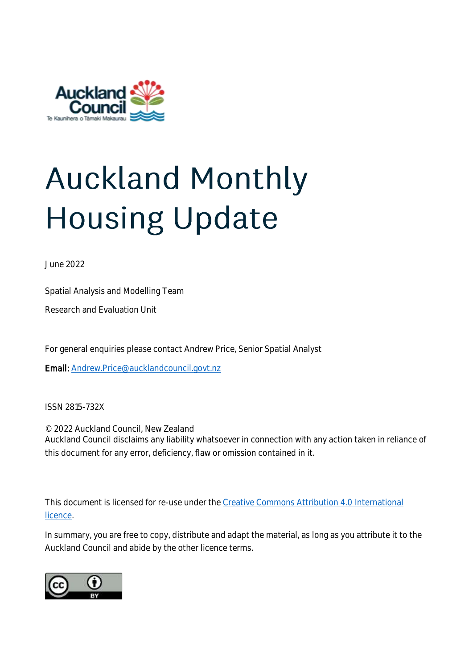![](_page_2_Picture_0.jpeg)

# **Auckland Monthly**

June 2022

Spatial Analysis and Modelling Team

Research and Evaluation Unit

For general enquiries please contact Andrew Price, Senior Spatial Analyst

Email: [Andrew.Price@aucklandcouncil.govt.nz](mailto:Andrew.Price@aucklandcouncil.govt.nz)

ISSN 2815-732X

© 2022 Auckland Council, New Zealand Auckland Council disclaims any liability whatsoever in connection with any action taken in reliance of this document for any error, deficiency, flaw or omission contained in it.

This document is licensed for re-use under th[e Creative Commons Attribution 4.0 International](https://creativecommons.org/licenses/by/4.0)  [licence.](https://creativecommons.org/licenses/by/4.0)

In summary, you are free to copy, distribute and adapt the material, as long as you attribute it to the Auckland Council and abide by the other licence terms.

![](_page_2_Picture_11.jpeg)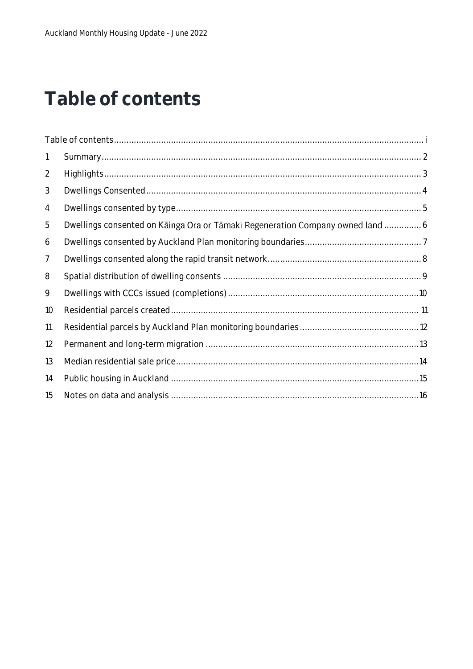### <span id="page-3-0"></span>Table of contents

| $\mathbf{1}$   |                                                                               |  |
|----------------|-------------------------------------------------------------------------------|--|
| $\overline{2}$ |                                                                               |  |
| 3              |                                                                               |  |
| 4              |                                                                               |  |
| 5              | Dwellings consented on Kainga Ora or Tamaki Regeneration Company owned land 6 |  |
| 6              |                                                                               |  |
| $\overline{7}$ |                                                                               |  |
| 8              |                                                                               |  |
| 9              |                                                                               |  |
| 10             |                                                                               |  |
| 11             |                                                                               |  |
| 12             |                                                                               |  |
| 13             |                                                                               |  |
| 14             |                                                                               |  |
| 15             |                                                                               |  |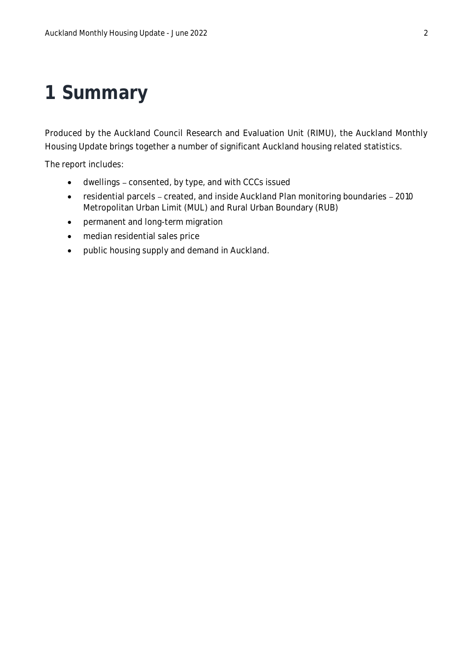### <span id="page-4-0"></span>**1 Summary**

Produced by the Auckland Council Research and Evaluation Unit (RIMU), the Auckland Monthly Housing Update brings together a number of significant Auckland housing related statistics.

The report includes:

- dwellings consented, by type, and with CCCs issued
- residential parcels created, and inside Auckland Plan monitoring boundaries 2010 Metropolitan Urban Limit (MUL) and Rural Urban Boundary (RUB)
- permanent and long-term migration
- median residential sales price
- public housing supply and demand in Auckland.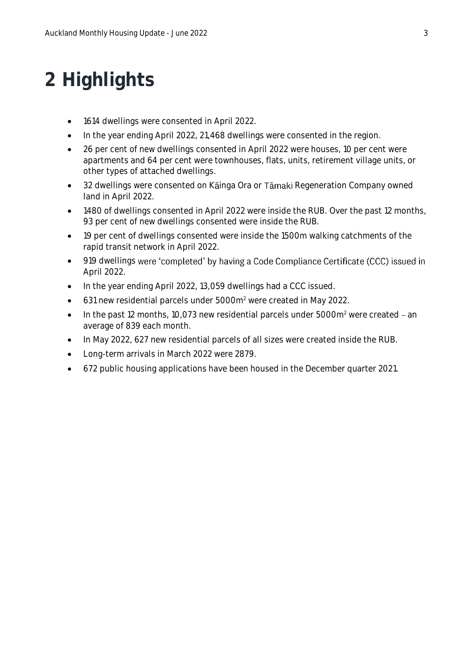### <span id="page-5-0"></span>**2 Highlights**

- 1614 dwellings were consented in April 2022.
- In the year ending April 2022, 21,468 dwellings were consented in the region.
- 26 per cent of new dwellings consented in April 2022 were houses, 10 per cent were apartments and 64 per cent were townhouses, flats, units, retirement village units, or other types of attached dwellings.
- 32 dwellings were consented on Kainga Ora or Tamaki Regeneration Company owned land in April 2022.
- 1480 of dwellings consented in April 2022 were inside the RUB. Over the past 12 months, 93 per cent of new dwellings consented were inside the RUB.
- 19 per cent of dwellings consented were inside the 1500m walking catchments of the rapid transit network in April 2022.
- 919 dwellings were 'completed' by having a Code Compliance Certificate (CCC) issued in April 2022.
- In the year ending April 2022, 13,059 dwellings had a CCC issued.
- 631 new residential parcels under 5000m<sup>2</sup> were created in May 2022.
- $\bullet$  In the past 12 months, 10,073 new residential parcels under 5000 $\mathrm{m}^2$  were created an average of 839 each month.
- In May 2022, 627 new residential parcels of all sizes were created inside the RUB.
- Long-term arrivals in March 2022 were 2879.
- 672 public housing applications have been housed in the December quarter 2021.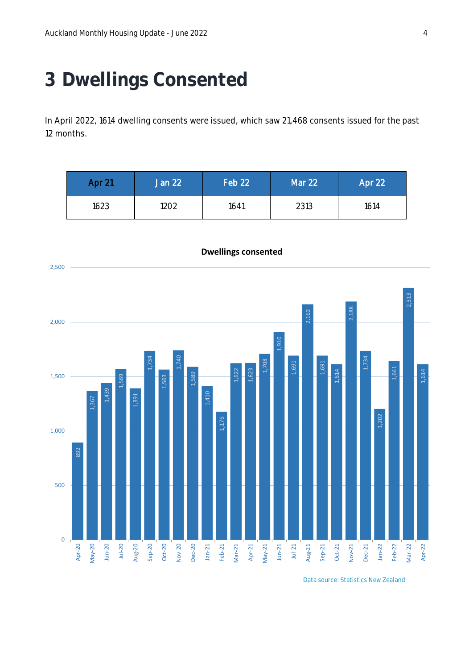### <span id="page-6-0"></span>**3 Dwellings Consented**

In April 2022, 1614 dwelling consents were issued, which saw 21,468 consents issued for the past 12 months.

| Apr 21 | Jan 22 | Feb 22 | Mar 22 | Apr 22 |
|--------|--------|--------|--------|--------|
| 1623   | 1202   | 1641   | 2313   | 1614   |

![](_page_6_Figure_4.jpeg)

**Dwellings consented**

Data source: Statistics New Zealand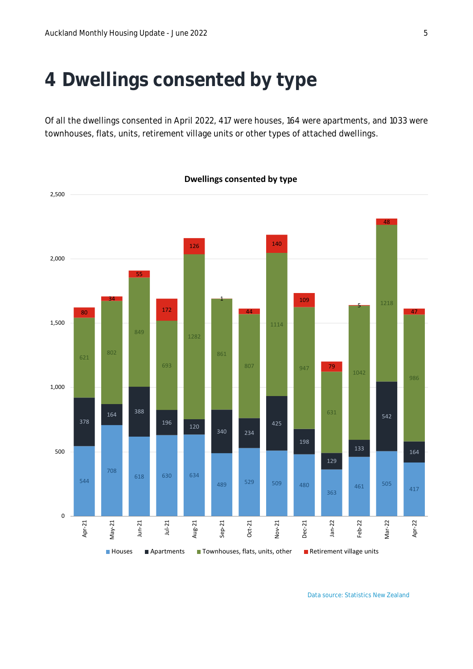### <span id="page-7-0"></span>**Dwellings consented by type**

Of all the dwellings consented in April 2022, 417 were houses, 164 were apartments, and 1033 were townhouses, flats, units, retirement village units or other types of attached dwellings.

![](_page_7_Figure_3.jpeg)

Data source: Statistics New Zealand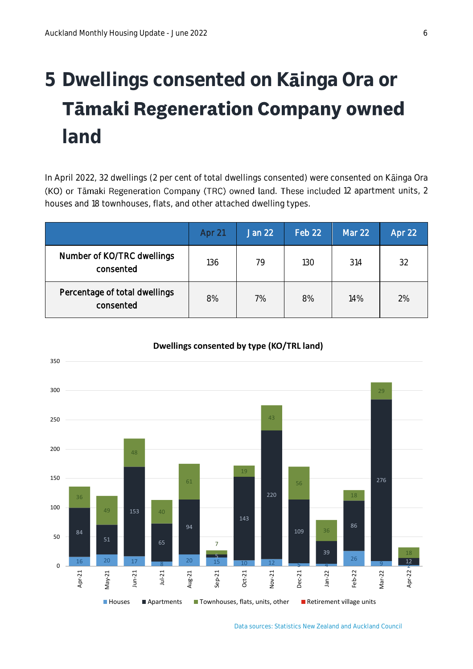### <span id="page-8-0"></span>**5 Dwellings consented on K inga Ora or Tāmaki Regeneration Company owned land**

In April 2022, 32 dwellings (2 per cent of total dwellings consented) were consented on Kainga Ora (KO) or Tāmaki Regeneration Company (TRC) owned land. These included 12 apartment units, 2 houses and 18 townhouses, flats, and other attached dwelling types.

|                                            | Apr 21 | <b>Jan 22</b> | Feb 22 | Mar 22 | Apr 22 |
|--------------------------------------------|--------|---------------|--------|--------|--------|
| Number of KO/TRC dwellings<br>consented    | 136    | 79            | 130    | 314    | 32     |
| Percentage of total dwellings<br>consented | 8%     | 7%            | 8%     | 14%    | 2%     |

![](_page_8_Figure_4.jpeg)

#### **Dwellings consented by type (KO/TRL land)**

Data sources: Statistics New Zealand and Auckland Council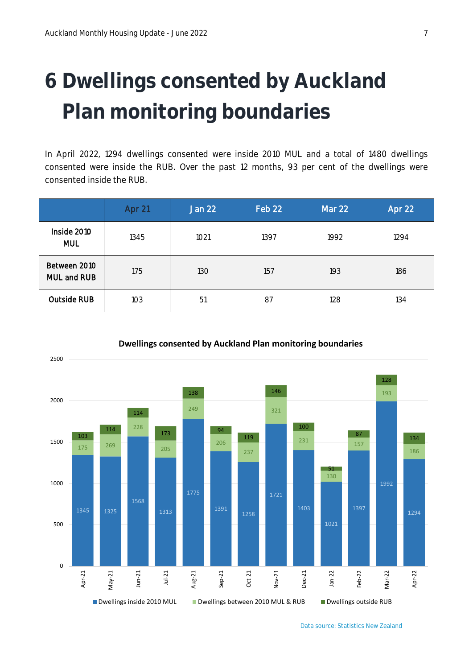### <span id="page-9-0"></span> **Dwellings consented by Auckland Plan monitoring boundaries**

In April 2022, 1294 dwellings consented were inside 2010 MUL and a total of 1480 dwellings consented were inside the RUB. Over the past 12 months, 93 per cent of the dwellings were consented inside the RUB.

|                             | Apr 21 | <b>Jan 22</b> | Feb 22 | Mar 22 | Apr 22 |
|-----------------------------|--------|---------------|--------|--------|--------|
| Inside 2010<br><b>MUL</b>   | 1345   | 1021          | 1397   | 1992   | 1294   |
| Between 2010<br>MUL and RUB | 175    | 130           | 157    | 193    | 186    |
| Outside RUB                 | 103    | 51            | 87     | 128    | 134    |

![](_page_9_Figure_4.jpeg)

#### **Dwellings consented by Auckland Plan monitoring boundaries**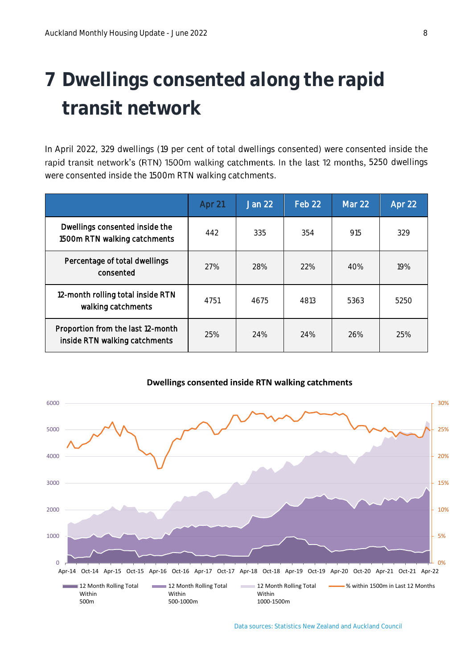### <span id="page-10-0"></span>**7 Dwellings consented along the rapid transit network**

In April 2022, 329 dwellings (19 per cent of total dwellings consented) were consented inside the rapid transit network's (RTN) 1500m walking catchments. In the last 12 months, 5250 dwellings were consented inside the 1500m RTN walking catchments.

|                                                                    | Apr 21 | <b>Jan 22</b> | Feb 22 | Mar 22 | Apr 22 |
|--------------------------------------------------------------------|--------|---------------|--------|--------|--------|
| Dwellings consented inside the<br>1500m RTN walking catchments     | 442    | 335           | 354    | 915    | 329    |
| Percentage of total dwellings<br>consented                         | 27%    | 28%           | 22%    | 40%    | 19%    |
| 12-month rolling total inside RTN<br>walking catchments            | 4751   | 4675          | 4813   | 5363   | 5250   |
| Proportion from the last 12-month<br>inside RTN walking catchments | 25%    | 24%           | 24%    | 26%    | 25%    |

![](_page_10_Figure_4.jpeg)

#### **Dwellings consented inside RTN walking catchments**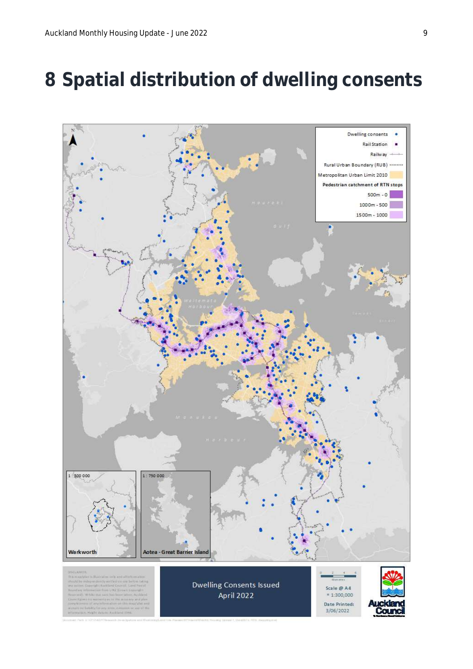### <span id="page-11-0"></span>**8 Spatial distribution of dwelling consents**

![](_page_11_Figure_2.jpeg)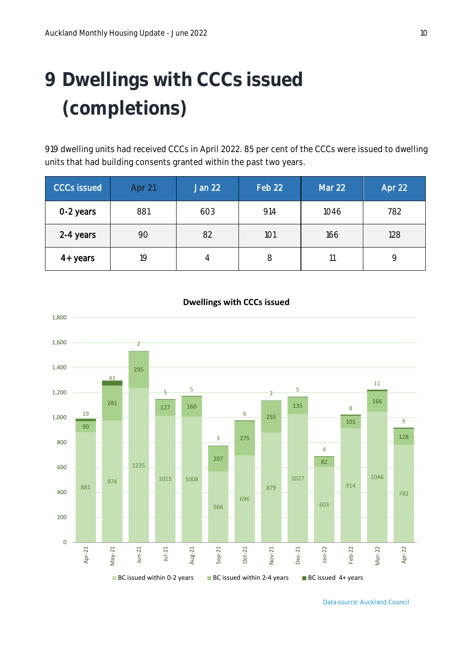### <span id="page-12-0"></span> **Dwellings with CCCs issued (completions)**

 dwelling units had received CCCs in April 2022. 85 per cent of the CCCs were issued to dwelling units that had building consents granted within the past two years.

| <b>CCCs issued</b> | Apr 21 | Jan 22 | Feb 22 | Mar 22 | Apr 22 |
|--------------------|--------|--------|--------|--------|--------|
| 0-2 years          | 881    | 603    | 914    | 1046   | 782    |
| 2-4 years          | 90     | 82     | 101    | 166    | 128    |
| 4+ years           | 19     | 4      | 8      |        |        |

![](_page_12_Figure_4.jpeg)

#### **Dwellings with CCCs issued**

Data source: Auckland Council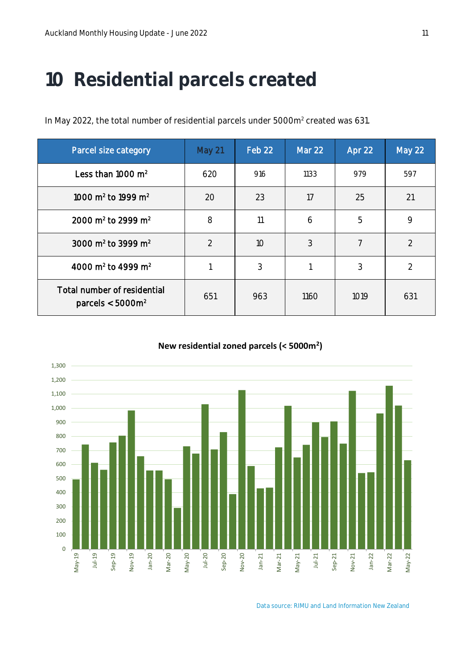### <span id="page-13-0"></span>**10 Residential parcels created**

In May 2022, the total number of residential parcels under 5000m<sup>2</sup> created was 631.

| Parcel size category                                 | May 21         | Feb 22 | Mar 22 | Apr 22         | <b>May 22</b>  |
|------------------------------------------------------|----------------|--------|--------|----------------|----------------|
| Less than 1000 $m2$                                  | 620            | 916    | 1133   | 979            | 597            |
| 1000 m <sup>2</sup> to 1999 m <sup>2</sup>           | 20             | 23     | 17     | 25             | 21             |
| 2000 m <sup>2</sup> to 2999 m <sup>2</sup>           | 8              | 11     | 6      | 5              | 9              |
| 3000 m <sup>2</sup> to 3999 m <sup>2</sup>           | $\overline{2}$ | 10     | 3      | $\overline{7}$ | $\overline{2}$ |
| 4000 m <sup>2</sup> to 4999 m <sup>2</sup>           |                | 3      |        | 3              | $\overline{2}$ |
| Total number of residential<br>parcels $<$ 5000 $m2$ | 651            | 963    | 1160   | 1019           | 631            |

#### **New residential zoned parcels (< 5000m<sup>2</sup> )**

![](_page_13_Figure_5.jpeg)

Data source: RIMU and Land Information New Zealand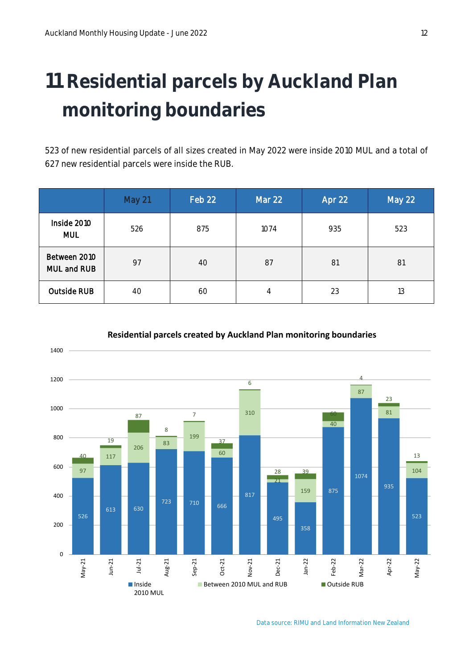### <span id="page-14-0"></span> **Residential parcels by Auckland Plan monitoring boundaries**

 of new residential parcels of all sizes created in May 2022 were inside 2010 MUL and a total of new residential parcels were inside the RUB.

|                             | May 21 | Feb 22 | <b>Mar 22</b> | Apr 22 | May 22 |
|-----------------------------|--------|--------|---------------|--------|--------|
| Inside 2010<br><b>MUL</b>   | 526    | 875    | 1074          | 935    | 523    |
| Between 2010<br>MUL and RUB | 97     | 40     | 87            | 81     | 81     |
| <b>Outside RUB</b>          | 40     | 60     | 4             | 23     | 13     |

![](_page_14_Figure_4.jpeg)

#### **Residential parcels created by Auckland Plan monitoring boundaries**

Data source: RIMU and Land Information New Zealand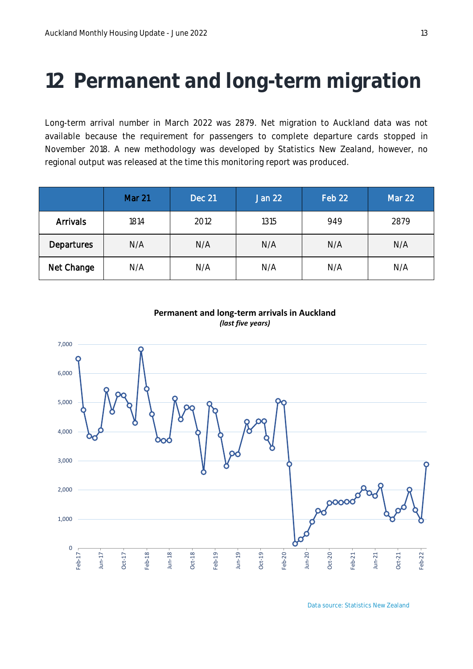### <span id="page-15-0"></span>**12 Permanent and long-term migration**

Long-term arrival number in March 2022 was 2879. Net migration to Auckland data was not available because the requirement for passengers to complete departure cards stopped in November 2018. A new methodology was developed by Statistics New Zealand, however, no regional output was released at the time this monitoring report was produced.

|                   | <b>Mar 21</b> | <b>Dec 21</b> | Jan 22 | Feb 22 | Mar 22 |
|-------------------|---------------|---------------|--------|--------|--------|
| <b>Arrivals</b>   | 1814          | 2012          | 1315   | 949    | 2879   |
| <b>Departures</b> | N/A           | N/A           | N/A    | N/A    | N/A    |
| Net Change        | N/A           | N/A           | N/A    | N/A    | N/A    |

![](_page_15_Figure_4.jpeg)

#### **Permanent and long-term arrivals in Auckland** *(last five years)*

Data source: Statistics New Zealand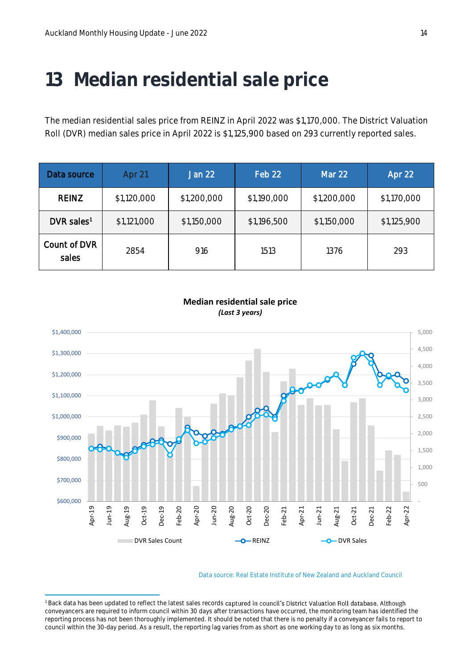### <span id="page-16-0"></span>**13 Median residential sale price**

The median residential sales price from REINZ in April 2022 was \$1,170,000. The District Valuation Roll (DVR) median sales price in April 2022 is \$1,125,900 based on 293 currently reported sales.

| Data source              | Apr 21      | Jan 22      | Feb 22      | <b>Mar 22</b> | Apr 22      |
|--------------------------|-------------|-------------|-------------|---------------|-------------|
| <b>REINZ</b>             | \$1,120,000 | \$1,200,000 | \$1,190,000 | \$1,200,000   | \$1,170,000 |
| $DVR$ sales <sup>1</sup> | \$1,121,000 | \$1,150,000 | \$1,196,500 | \$1,150,000   | \$1,125,900 |
| Count of DVR<br>sales    | 2854        | 916         | 1513        | 1376          | 293         |

![](_page_16_Figure_4.jpeg)

**Median residential sale price** *(Last 3 years)*

Data source: Real Estate Institute of New Zealand and Auckland Council

<sup>&</sup>lt;sup>1</sup> Back data has been updated to reflect the latest sales records captured in council's District Valuation Roll database. Although conveyancers are required to inform council within 30 days after transactions have occurred, the monitoring team has identified the reporting process has not been thoroughly implemented. It should be noted that there is no penalty if a conveyancer fails to report to council within the 30-day period. As a result, the reporting lag varies from as short as one working day to as long as six months.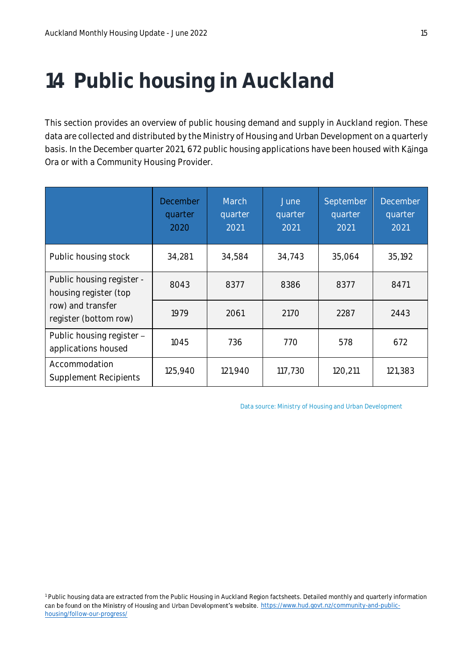### <span id="page-17-0"></span>**14 Public housing in Auckland**

This section provides an overview of public housing demand and supply in Auckland region. These data are collected and distributed by the Ministry of Housing and Urban Development on a quarterly basis. In the December quarter 2021, 672 public housing applications have been housed with Kainga Ora or with a Community Housing Provider.

|                                                    | December<br>quarter<br>2020 | March<br>quarter<br>2021 | June<br>quarter<br>2021 | September<br>quarter<br>2021 | <b>December</b><br>quarter<br>2021 |
|----------------------------------------------------|-----------------------------|--------------------------|-------------------------|------------------------------|------------------------------------|
| Public housing stock                               | 34,281                      | 34,584                   | 34,743                  | 35,064                       | 35,192                             |
| Public housing register -<br>housing register (top | 8043                        | 8377                     | 8386                    | 8377                         | 8471                               |
| row) and transfer<br>register (bottom row)         | 1979                        | 2061                     | 2170                    | 2287                         | 2443                               |
| Public housing register -<br>applications housed   | 1045                        | 736                      | 770                     | 578                          | 672                                |
| Accommodation<br><b>Supplement Recipients</b>      | 125,940                     | 121,940                  | 117,730                 | 120,211                      | 121,383                            |

Data source: Ministry of Housing and Urban Development

<sup>1</sup> Public housing data are extracted from the Public Housing in Auckland Region factsheets. Detailed monthly and quarterly information can be found on the Ministry of Housing and Urban Development's website. [https://www.hud.govt.nz/community-and-public](https://www.hud.govt.nz/community-and-public-housing/follow-our-progress/)[housing/follow-our-progress/](https://www.hud.govt.nz/community-and-public-housing/follow-our-progress/)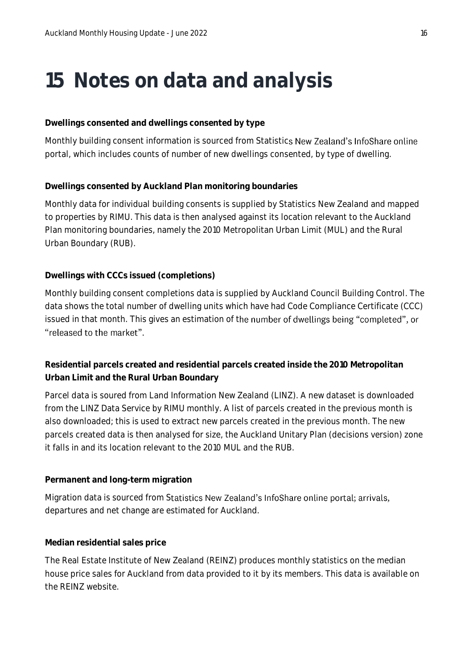### <span id="page-18-0"></span>**15 Notes on data and analysis**

#### **Dwellings consented and dwellings consented by type**

Monthly building consent information is sourced from Statistics New Zealand's InfoShare online portal, which includes counts of number of new dwellings consented, by type of dwelling.

#### **Dwellings consented by Auckland Plan monitoring boundaries**

Monthly data for individual building consents is supplied by Statistics New Zealand and mapped to properties by RIMU. This data is then analysed against its location relevant to the Auckland Plan monitoring boundaries, namely the 2010 Metropolitan Urban Limit (MUL) and the Rural Urban Boundary (RUB).

#### **Dwellings with CCCs issued (completions)**

Monthly building consent completions data is supplied by Auckland Council Building Control. The data shows the total number of dwelling units which have had Code Compliance Certificate (CCC) issued in that month. This gives an estimation of the number of dwellings being "completed", or "released to the market".

**Residential parcels created and residential parcels created inside the 2010 Metropolitan Urban Limit and the Rural Urban Boundary**

Parcel data is soured from Land Information New Zealand (LINZ). A new dataset is downloaded from the LINZ Data Service by RIMU monthly. A list of parcels created in the previous month is also downloaded; this is used to extract new parcels created in the previous month. The new parcels created data is then analysed for size, the Auckland Unitary Plan (decisions version) zone it falls in and its location relevant to the 2010 MUL and the RUB.

#### **Permanent and long-term migration**

Migration data is sourced from Statistics New Zealand's InfoShare online portal; arrivals, departures and net change are estimated for Auckland.

#### **Median residential sales price**

The Real Estate Institute of New Zealand (REINZ) produces monthly statistics on the median house price sales for Auckland from data provided to it by its members. This data is available on the REINZ website.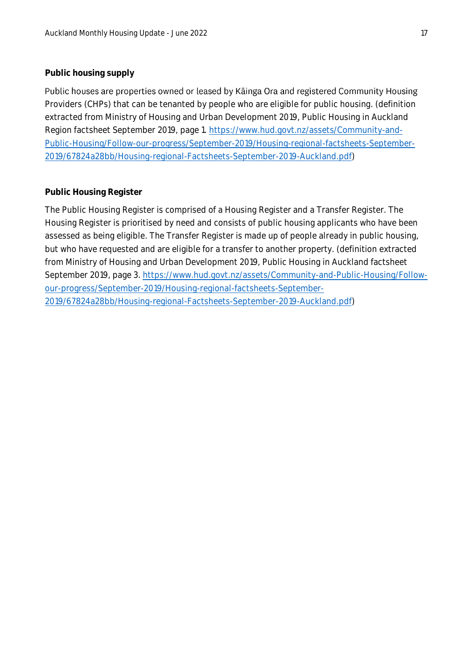#### **Public housing supply**

Public houses are properties owned or leased by Kainga Ora and registered Community Housing Providers (CHPs) that can be tenanted by people who are eligible for public housing. (definition extracted from Ministry of Housing and Urban Development 2019, Public Housing in Auckland Region factsheet September 2019, page 1. [https://www.hud.govt.nz/assets/Community-and-](https://www.hud.govt.nz/assets/Community-and-Public-Housing/Follow-our-progress/September-2019/Housing-regional-factsheets-September-2019/67824a28bb/Housing-regional-Factsheets-September-2019-Auckland.pdf)[Public-Housing/Follow-our-progress/September-2019/Housing-regional-factsheets-September-](https://www.hud.govt.nz/assets/Community-and-Public-Housing/Follow-our-progress/September-2019/Housing-regional-factsheets-September-2019/67824a28bb/Housing-regional-Factsheets-September-2019-Auckland.pdf)[2019/67824a28bb/Housing-regional-Factsheets-September-2019-Auckland.pdf\)](https://www.hud.govt.nz/assets/Community-and-Public-Housing/Follow-our-progress/September-2019/Housing-regional-factsheets-September-2019/67824a28bb/Housing-regional-Factsheets-September-2019-Auckland.pdf)

#### **Public Housing Register**

The Public Housing Register is comprised of a Housing Register and a Transfer Register. The Housing Register is prioritised by need and consists of public housing applicants who have been assessed as being eligible. The Transfer Register is made up of people already in public housing, but who have requested and are eligible for a transfer to another property. (definition extracted from Ministry of Housing and Urban Development 2019, Public Housing in Auckland factsheet September 2019, page 3. [https://www.hud.govt.nz/assets/Community-and-Public-Housing/Follow](https://www.hud.govt.nz/assets/Community-and-Public-Housing/Follow-our-progress/September-2019/Housing-regional-factsheets-September-2019/67824a28bb/Housing-regional-Factsheets-September-2019-Auckland.pdf)[our-progress/September-2019/Housing-regional-factsheets-September-](https://www.hud.govt.nz/assets/Community-and-Public-Housing/Follow-our-progress/September-2019/Housing-regional-factsheets-September-2019/67824a28bb/Housing-regional-Factsheets-September-2019-Auckland.pdf)[2019/67824a28bb/Housing-regional-Factsheets-September-2019-Auckland.pdf\)](https://www.hud.govt.nz/assets/Community-and-Public-Housing/Follow-our-progress/September-2019/Housing-regional-factsheets-September-2019/67824a28bb/Housing-regional-Factsheets-September-2019-Auckland.pdf)